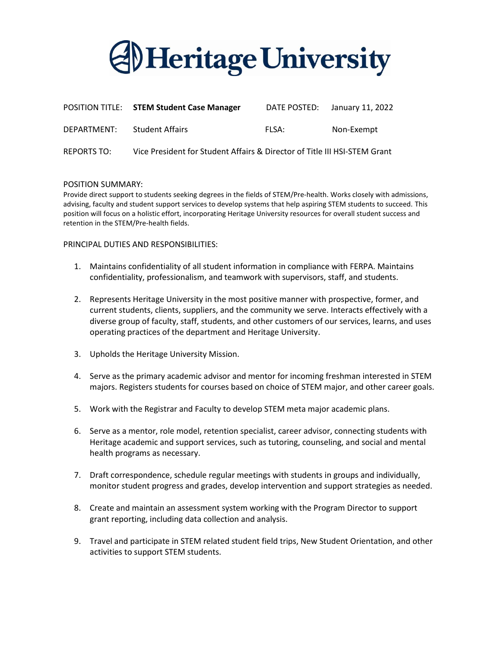

|                    | POSITION TITLE: STEM Student Case Manager                                 |       | DATE POSTED: January 11, 2022 |
|--------------------|---------------------------------------------------------------------------|-------|-------------------------------|
| DEPARTMENT:        | <b>Student Affairs</b>                                                    | FLSA: | Non-Exempt                    |
| <b>REPORTS TO:</b> | Vice President for Student Affairs & Director of Title III HSI-STEM Grant |       |                               |

#### POSITION SUMMARY:

Provide direct support to students seeking degrees in the fields of STEM/Pre-health. Works closely with admissions, advising, faculty and student support services to develop systems that help aspiring STEM students to succeed. This position will focus on a holistic effort, incorporating Heritage University resources for overall student success and retention in the STEM/Pre-health fields.

#### PRINCIPAL DUTIES AND RESPONSIBILITIES:

- 1. Maintains confidentiality of all student information in compliance with FERPA. Maintains confidentiality, professionalism, and teamwork with supervisors, staff, and students.
- 2. Represents Heritage University in the most positive manner with prospective, former, and current students, clients, suppliers, and the community we serve. Interacts effectively with a diverse group of faculty, staff, students, and other customers of our services, learns, and uses operating practices of the department and Heritage University.
- 3. Upholds the Heritage University Mission.
- 4. Serve as the primary academic advisor and mentor for incoming freshman interested in STEM majors. Registers students for courses based on choice of STEM major, and other career goals.
- 5. Work with the Registrar and Faculty to develop STEM meta major academic plans.
- 6. Serve as a mentor, role model, retention specialist, career advisor, connecting students with Heritage academic and support services, such as tutoring, counseling, and social and mental health programs as necessary.
- 7. Draft correspondence, schedule regular meetings with students in groups and individually, monitor student progress and grades, develop intervention and support strategies as needed.
- 8. Create and maintain an assessment system working with the Program Director to support grant reporting, including data collection and analysis.
- 9. Travel and participate in STEM related student field trips, New Student Orientation, and other activities to support STEM students.